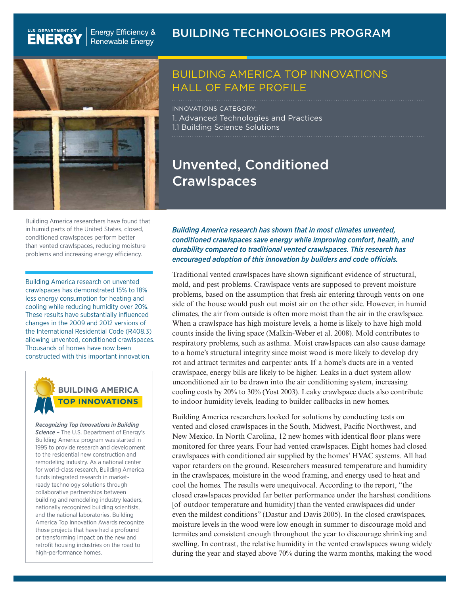**Energy Efficiency &** Renewable Energy

### BUILDING TECHNOLOGIES PROGRAM



U.S. DEPARTMENT OF

**ENERG** 



## BUILDING AMERICA TOP INNOVATIONS HALL OF FAME PROFILE

INNOVATIONS CATEGORY: 1. Advanced Technologies and Practices 1.1 Building Science Solutions

## Unvented, Conditioned **Crawlspaces**

Building America researchers have found that in humid parts of the United States, closed, conditioned crawlspaces perform better than vented crawlspaces, reducing moisture problems and increasing energy efficiency.

Building America research on unvented crawlspaces has demonstrated 15% to 18% less energy consumption for heating and cooling while reducing humidity over 20%. These results have substantially influenced changes in the 2009 and 2012 versions of the International Residential Code (R408.3) allowing unvented, conditioned crawlspaces. Thousands of homes have now been constructed with this important innovation.



*Recognizing Top Innovations in Building Science –* The U.S. Department of Energy's Building America program was started in 1995 to provide research and development to the residential new construction and remodeling industry. As a national center for world-class research, Building America funds integrated research in marketready technology solutions through collaborative partnerships between building and remodeling industry leaders, nationally recognized building scientists, and the national laboratories. Building America Top Innovation Awards recognize those projects that have had a profound or transforming impact on the new and retrofit housing industries on the road to high-performance homes.

*Building America research has shown that in most climates unvented, conditioned crawlspaces save energy while improving comfort, health, and durability compared to traditional vented crawlspaces. This research has encouraged adoption of this innovation by builders and code officials.*

Traditional vented crawlspaces have shown significant evidence of structural, mold, and pest problems. Crawlspace vents are supposed to prevent moisture problems, based on the assumption that fresh air entering through vents on one side of the house would push out moist air on the other side. However, in humid climates, the air from outside is often more moist than the air in the crawlspace. When a crawlspace has high moisture levels, a home is likely to have high mold counts inside the living space (Malkin-Weber et al. 2008). Mold contributes to respiratory problems, such as asthma. Moist crawlspaces can also cause damage to a home's structural integrity since moist wood is more likely to develop dry rot and attract termites and carpenter ants. If a home's ducts are in a vented crawlspace, energy bills are likely to be higher. Leaks in a duct system allow unconditioned air to be drawn into the air conditioning system, increasing cooling costs by 20% to 30% (Yost 2003). Leaky crawlspace ducts also contribute to indoor humidity levels, leading to builder callbacks in new homes.

Building America researchers looked for solutions by conducting tests on vented and closed crawlspaces in the South, Midwest, Pacific Northwest, and New Mexico. In North Carolina, 12 new homes with identical floor plans were monitored for three years. Four had vented crawlspaces. Eight homes had closed crawlspaces with conditioned air supplied by the homes' HVAC systems. All had vapor retarders on the ground. Researchers measured temperature and humidity in the crawlspaces, moisture in the wood framing, and energy used to heat and cool the homes. The results were unequivocal. According to the report, "the closed crawlspaces provided far better performance under the harshest conditions [of outdoor temperature and humidity] than the vented crawlspaces did under even the mildest conditions" (Dastur and Davis 2005). In the closed crawlspaces, moisture levels in the wood were low enough in summer to discourage mold and termites and consistent enough throughout the year to discourage shrinking and swelling. In contrast, the relative humidity in the vented crawlspaces swung widely during the year and stayed above 70% during the warm months, making the wood